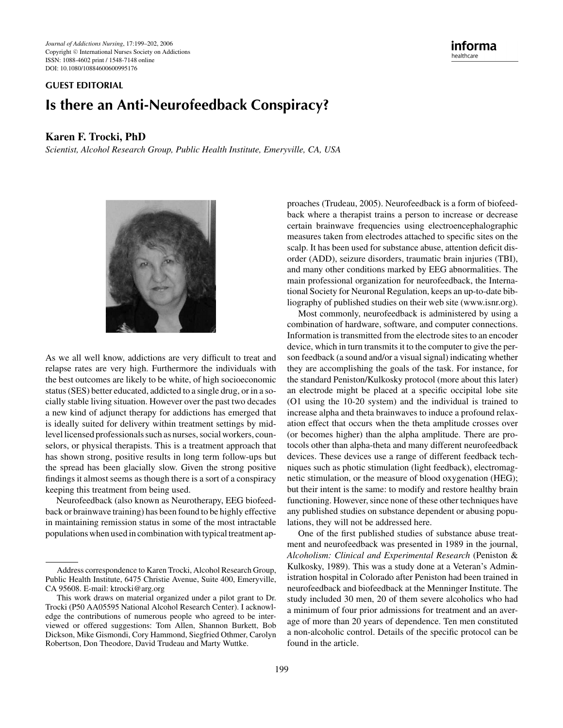## **GUEST EDITORIAL Is there an Anti-Neurofeedback Conspiracy?**

## **Karen F. Trocki, PhD**

*Scientist, Alcohol Research Group, Public Health Institute, Emeryville, CA, USA*



As we all well know, addictions are very difficult to treat and relapse rates are very high. Furthermore the individuals with the best outcomes are likely to be white, of high socioeconomic status (SES) better educated, addicted to a single drug, or in a socially stable living situation. However over the past two decades a new kind of adjunct therapy for addictions has emerged that is ideally suited for delivery within treatment settings by midlevel licensed professionals such as nurses, social workers, counselors, or physical therapists. This is a treatment approach that has shown strong, positive results in long term follow-ups but the spread has been glacially slow. Given the strong positive findings it almost seems as though there is a sort of a conspiracy keeping this treatment from being used.

Neurofeedback (also known as Neurotherapy, EEG biofeedback or brainwave training) has been found to be highly effective in maintaining remission status in some of the most intractable populations when used in combination with typical treatment approaches (Trudeau, 2005). Neurofeedback is a form of biofeedback where a therapist trains a person to increase or decrease certain brainwave frequencies using electroencephalographic measures taken from electrodes attached to specific sites on the scalp. It has been used for substance abuse, attention deficit disorder (ADD), seizure disorders, traumatic brain injuries (TBI), and many other conditions marked by EEG abnormalities. The main professional organization for neurofeedback, the International Society for Neuronal Regulation, keeps an up-to-date bibliography of published studies on their web site (www.isnr.org).

Most commonly, neurofeedback is administered by using a combination of hardware, software, and computer connections. Information is transmitted from the electrode sites to an encoder device, which in turn transmits it to the computer to give the person feedback (a sound and/or a visual signal) indicating whether they are accomplishing the goals of the task. For instance, for the standard Peniston/Kulkosky protocol (more about this later) an electrode might be placed at a specific occipital lobe site (O1 using the 10-20 system) and the individual is trained to increase alpha and theta brainwaves to induce a profound relaxation effect that occurs when the theta amplitude crosses over (or becomes higher) than the alpha amplitude. There are protocols other than alpha-theta and many different neurofeedback devices. These devices use a range of different feedback techniques such as photic stimulation (light feedback), electromagnetic stimulation, or the measure of blood oxygenation (HEG); but their intent is the same: to modify and restore healthy brain functioning. However, since none of these other techniques have any published studies on substance dependent or abusing populations, they will not be addressed here.

One of the first published studies of substance abuse treatment and neurofeedback was presented in 1989 in the journal, *Alcoholism: Clinical and Experimental Research* (Peniston & Kulkosky, 1989). This was a study done at a Veteran's Administration hospital in Colorado after Peniston had been trained in neurofeedback and biofeedback at the Menninger Institute. The study included 30 men, 20 of them severe alcoholics who had a minimum of four prior admissions for treatment and an average of more than 20 years of dependence. Ten men constituted a non-alcoholic control. Details of the specific protocol can be found in the article.

Address correspondence to Karen Trocki, Alcohol Research Group, Public Health Institute, 6475 Christie Avenue, Suite 400, Emeryville, CA 95608. E-mail: ktrocki@arg.org

This work draws on material organized under a pilot grant to Dr. Trocki (P50 AA05595 National Alcohol Research Center). I acknowledge the contributions of numerous people who agreed to be interviewed or offered suggestions: Tom Allen, Shannon Burkett, Bob Dickson, Mike Gismondi, Cory Hammond, Siegfried Othmer, Carolyn Robertson, Don Theodore, David Trudeau and Marty Wuttke.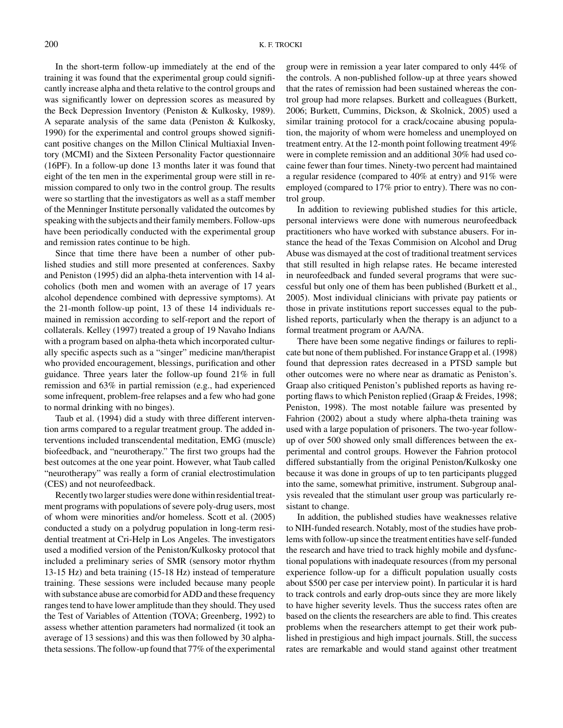In the short-term follow-up immediately at the end of the training it was found that the experimental group could significantly increase alpha and theta relative to the control groups and was significantly lower on depression scores as measured by the Beck Depression Inventory (Peniston & Kulkosky, 1989). A separate analysis of the same data (Peniston & Kulkosky, 1990) for the experimental and control groups showed significant positive changes on the Millon Clinical Multiaxial Inventory (MCMI) and the Sixteen Personality Factor questionnaire (16PF). In a follow-up done 13 months later it was found that eight of the ten men in the experimental group were still in remission compared to only two in the control group. The results were so startling that the investigators as well as a staff member of the Menninger Institute personally validated the outcomes by speaking with the subjects and their family members. Follow-ups have been periodically conducted with the experimental group and remission rates continue to be high.

Since that time there have been a number of other published studies and still more presented at conferences. Saxby and Peniston (1995) did an alpha-theta intervention with 14 alcoholics (both men and women with an average of 17 years alcohol dependence combined with depressive symptoms). At the 21-month follow-up point, 13 of these 14 individuals remained in remission according to self-report and the report of collaterals. Kelley (1997) treated a group of 19 Navaho Indians with a program based on alpha-theta which incorporated culturally specific aspects such as a "singer" medicine man/therapist who provided encouragement, blessings, purification and other guidance. Three years later the follow-up found 21% in full remission and 63% in partial remission (e.g., had experienced some infrequent, problem-free relapses and a few who had gone to normal drinking with no binges).

Taub et al. (1994) did a study with three different intervention arms compared to a regular treatment group. The added interventions included transcendental meditation, EMG (muscle) biofeedback, and "neurotherapy." The first two groups had the best outcomes at the one year point. However, what Taub called "neurotherapy" was really a form of cranial electrostimulation (CES) and not neurofeedback.

Recently two larger studies were done within residential treatment programs with populations of severe poly-drug users, most of whom were minorities and/or homeless. Scott et al. (2005) conducted a study on a polydrug population in long-term residential treatment at Cri-Help in Los Angeles. The investigators used a modified version of the Peniston/Kulkosky protocol that included a preliminary series of SMR (sensory motor rhythm 13-15 Hz) and beta training (15-18 Hz) instead of temperature training. These sessions were included because many people with substance abuse are comorbid for ADD and these frequency ranges tend to have lower amplitude than they should. They used the Test of Variables of Attention (TOVA; Greenberg, 1992) to assess whether attention parameters had normalized (it took an average of 13 sessions) and this was then followed by 30 alphatheta sessions. The follow-up found that 77% of the experimental

group were in remission a year later compared to only 44% of the controls. A non-published follow-up at three years showed that the rates of remission had been sustained whereas the control group had more relapses. Burkett and colleagues (Burkett, 2006; Burkett, Cummins, Dickson, & Skolnick, 2005) used a similar training protocol for a crack/cocaine abusing population, the majority of whom were homeless and unemployed on treatment entry. At the 12-month point following treatment 49% were in complete remission and an additional 30% had used cocaine fewer than four times. Ninety-two percent had maintained a regular residence (compared to 40% at entry) and 91% were employed (compared to 17% prior to entry). There was no control group.

In addition to reviewing published studies for this article, personal interviews were done with numerous neurofeedback practitioners who have worked with substance abusers. For instance the head of the Texas Commision on Alcohol and Drug Abuse was dismayed at the cost of traditional treatment services that still resulted in high relapse rates. He became interested in neurofeedback and funded several programs that were successful but only one of them has been published (Burkett et al., 2005). Most individual clinicians with private pay patients or those in private institutions report successes equal to the published reports, particularly when the therapy is an adjunct to a formal treatment program or AA/NA.

There have been some negative findings or failures to replicate but none of them published. For instance Grapp et al. (1998) found that depression rates decreased in a PTSD sample but other outcomes were no where near as dramatic as Peniston's. Graap also critiqued Peniston's published reports as having reporting flaws to which Peniston replied (Graap & Freides, 1998; Peniston, 1998). The most notable failure was presented by Fahrion (2002) about a study where alpha-theta training was used with a large population of prisoners. The two-year followup of over 500 showed only small differences between the experimental and control groups. However the Fahrion protocol differed substantially from the original Peniston/Kulkosky one because it was done in groups of up to ten participants plugged into the same, somewhat primitive, instrument. Subgroup analysis revealed that the stimulant user group was particularly resistant to change.

In addition, the published studies have weaknesses relative to NIH-funded research. Notably, most of the studies have problems with follow-up since the treatment entities have self-funded the research and have tried to track highly mobile and dysfunctional populations with inadequate resources (from my personal experience follow-up for a difficult population usually costs about \$500 per case per interview point). In particular it is hard to track controls and early drop-outs since they are more likely to have higher severity levels. Thus the success rates often are based on the clients the researchers are able to find. This creates problems when the researchers attempt to get their work published in prestigious and high impact journals. Still, the success rates are remarkable and would stand against other treatment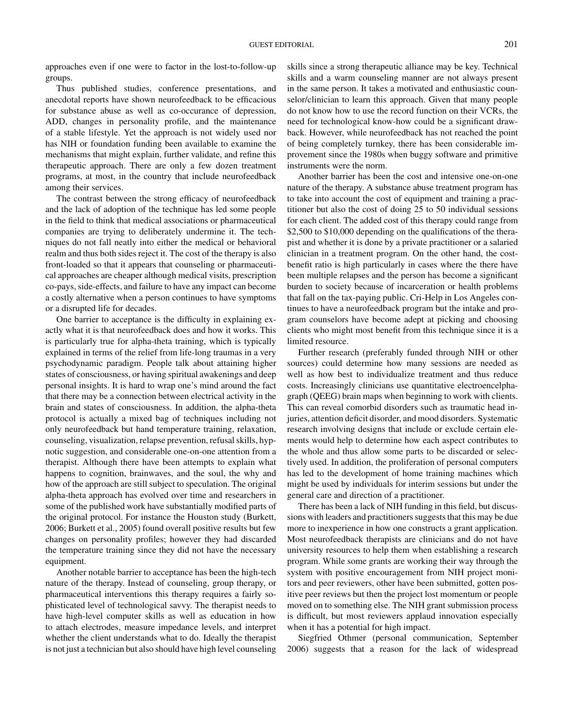approaches even if one were to factor in the lost-to-follow-up groups.

Thus published studies, conference presentations, and anecdotal reports have shown neurofeedback to be efficacious for substance abuse as well as co-occurance of depression, ADD, changes in personality profile, and the maintenance of a stable lifestyle. Yet the approach is not widely used nor has NIH or foundation funding been available to examine the mechanisms that might explain, further validate, and refine this therapeutic approach. There are only a few dozen treatment programs, at most, in the country that include neurofeedback among their services.

The contrast between the strong efficacy of neurofeedback and the lack of adoption of the technique has led some people in the field to think that medical associations or pharmaceutical companies are trying to deliberately undermine it. The techniques do not fall neatly into either the medical or behavioral realm and thus both sides reject it. The cost of the therapy is also front-loaded so that it appears that counseling or pharmaceutical approaches are cheaper although medical visits, prescription co-pays, side-effects, and failure to have any impact can become a costly alternative when a person continues to have symptoms or a disrupted life for decades.

One barrier to acceptance is the difficulty in explaining exactly what it is that neurofeedback does and how it works. This is particularly true for alpha-theta training, which is typically explained in terms of the relief from life-long traumas in a very psychodynamic paradigm. People talk about attaining higher states of consciousness, or having spiritual awakenings and deep personal insights. It is hard to wrap one's mind around the fact that there may be a connection between electrical activity in the brain and states of consciousness. In addition, the alpha-theta protocol is actually a mixed bag of techniques including not only neurofeedback but hand temperature training, relaxation, counseling, visualization, relapse prevention, refusal skills, hypnotic suggestion, and considerable one-on-one attention from a therapist. Although there have been attempts to explain what happens to cognition, brainwaves, and the soul, the why and how of the approach are still subject to speculation. The original alpha-theta approach has evolved over time and researchers in some of the published work have substantially modified parts of the original protocol. For instance the Houston study (Burkett, 2006; Burkett et al., 2005) found overall positive results but few changes on personality profiles; however they had discarded the temperature training since they did not have the necessary equipment.

Another notable barrier to acceptance has been the high-tech nature of the therapy. Instead of counseling, group therapy, or pharmaceutical interventions this therapy requires a fairly sophisticated level of technological savvy. The therapist needs to have high-level computer skills as well as education in how to attach electrodes, measure impedance levels, and interpret whether the client understands what to do. Ideally the therapist is not just a technician but also should have high level counseling skills since a strong therapeutic alliance may be key. Technical skills and a warm counseling manner are not always present in the same person. It takes a motivated and enthusiastic counselor/clinician to learn this approach. Given that many people do not know how to use the record function on their VCRs, the need for technological know-how could be a significant drawback. However, while neurofeedback has not reached the point of being completely turnkey, there has been considerable improvement since the 1980s when buggy software and primitive instruments were the norm.

Another barrier has been the cost and intensive one-on-one nature of the therapy. A substance abuse treatment program has to take into account the cost of equipment and training a practitioner but also the cost of doing 25 to 50 individual sessions for each client. The added cost of this therapy could range from \$2,500 to \$10,000 depending on the qualifications of the therapist and whether it is done by a private practitioner or a salaried clinician in a treatment program. On the other hand, the costbenefit ratio is high particularly in cases where the there have been multiple relapses and the person has become a significant burden to society because of incarceration or health problems that fall on the tax-paying public. Cri-Help in Los Angeles continues to have a neurofeedback program but the intake and program counselors have become adept at picking and choosing clients who might most benefit from this technique since it is a limited resource.

Further research (preferably funded through NIH or other sources) could determine how many sessions are needed as well as how best to individualize treatment and thus reduce costs. Increasingly clinicians use quantitative electroencelphagraph (QEEG) brain maps when beginning to work with clients. This can reveal comorbid disorders such as traumatic head injuries, attention deficit disorder, and mood disorders. Systematic research involving designs that include or exclude certain elements would help to determine how each aspect contributes to the whole and thus allow some parts to be discarded or selectively used. In addition, the proliferation of personal computers has led to the development of home training machines which might be used by individuals for interim sessions but under the general care and direction of a practitioner.

There has been a lack of NIH funding in this field, but discussions with leaders and practitioners suggests that this may be due more to inexperience in how one constructs a grant application. Most neurofeedback therapists are clinicians and do not have university resources to help them when establishing a research program. While some grants are working their way through the system with positive encouragement from NIH project monitors and peer reviewers, other have been submitted, gotten positive peer reviews but then the project lost momentum or people moved on to something else. The NIH grant submission process is difficult, but most reviewers applaud innovation especially when it has a potential for high impact.

Siegfried Othmer (personal communication, September 2006) suggests that a reason for the lack of widespread